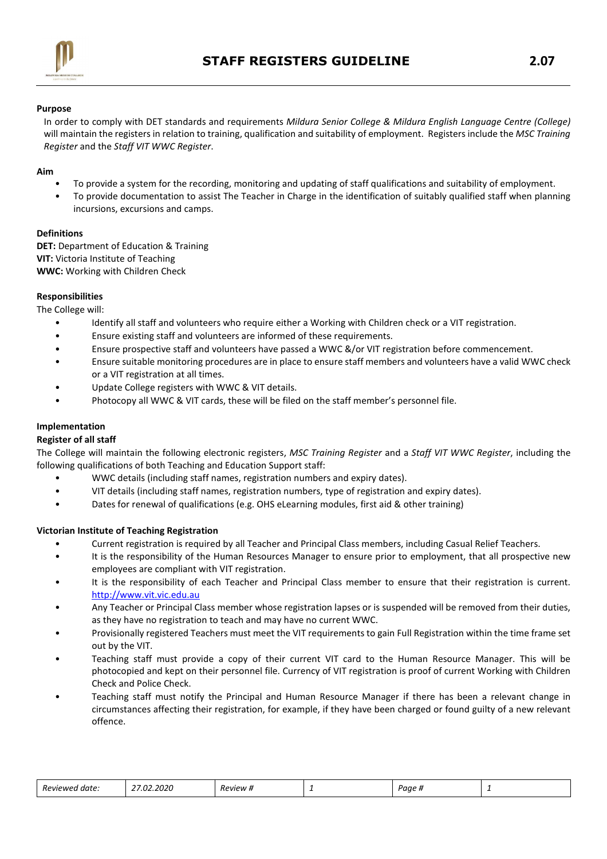

### Purpose

In order to comply with DET standards and requirements Mildura Senior College & Mildura English Language Centre (College) will maintain the registers in relation to training, qualification and suitability of employment. Registers include the MSC Training Register and the Staff VIT WWC Register.

### Aim

- To provide a system for the recording, monitoring and updating of staff qualifications and suitability of employment.
- To provide documentation to assist The Teacher in Charge in the identification of suitably qualified staff when planning incursions, excursions and camps.

### Definitions

DET: Department of Education & Training VIT: Victoria Institute of Teaching WWC: Working with Children Check

### Responsibilities

The College will:

- Identify all staff and volunteers who require either a Working with Children check or a VIT registration.
- Ensure existing staff and volunteers are informed of these requirements.
- Ensure prospective staff and volunteers have passed a WWC &/or VIT registration before commencement.
- Ensure suitable monitoring procedures are in place to ensure staff members and volunteers have a valid WWC check or a VIT registration at all times.
- Update College registers with WWC & VIT details.
- Photocopy all WWC & VIT cards, these will be filed on the staff member's personnel file.

## Implementation

### Register of all staff

The College will maintain the following electronic registers, MSC Training Register and a Staff VIT WWC Register, including the following qualifications of both Teaching and Education Support staff:

- WWC details (including staff names, registration numbers and expiry dates).
- VIT details (including staff names, registration numbers, type of registration and expiry dates).
- Dates for renewal of qualifications (e.g. OHS eLearning modules, first aid & other training)

### Victorian Institute of Teaching Registration

- Current registration is required by all Teacher and Principal Class members, including Casual Relief Teachers.
- It is the responsibility of the Human Resources Manager to ensure prior to employment, that all prospective new employees are compliant with VIT registration.
- It is the responsibility of each Teacher and Principal Class member to ensure that their registration is current. http://www.vit.vic.edu.au
- Any Teacher or Principal Class member whose registration lapses or is suspended will be removed from their duties, as they have no registration to teach and may have no current WWC.
- Provisionally registered Teachers must meet the VIT requirements to gain Full Registration within the time frame set out by the VIT.
- Teaching staff must provide a copy of their current VIT card to the Human Resource Manager. This will be photocopied and kept on their personnel file. Currency of VIT registration is proof of current Working with Children Check and Police Check.
- Teaching staff must notify the Principal and Human Resource Manager if there has been a relevant change in circumstances affecting their registration, for example, if they have been charged or found guilty of a new relevant offence.

| -<br>Reviewec<br>date. | 27.22<br>2020<br>" | Review # | - | aue #<br> | - |
|------------------------|--------------------|----------|---|-----------|---|
|------------------------|--------------------|----------|---|-----------|---|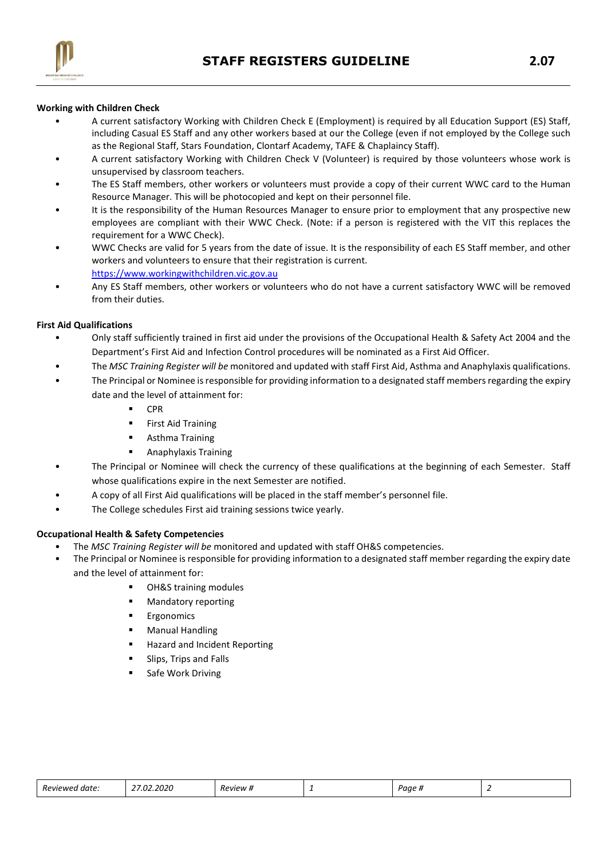

## Working with Children Check

- A current satisfactory Working with Children Check E (Employment) is required by all Education Support (ES) Staff, including Casual ES Staff and any other workers based at our the College (even if not employed by the College such as the Regional Staff, Stars Foundation, Clontarf Academy, TAFE & Chaplaincy Staff).
- A current satisfactory Working with Children Check V (Volunteer) is required by those volunteers whose work is unsupervised by classroom teachers.
- The ES Staff members, other workers or volunteers must provide a copy of their current WWC card to the Human Resource Manager. This will be photocopied and kept on their personnel file.
- It is the responsibility of the Human Resources Manager to ensure prior to employment that any prospective new employees are compliant with their WWC Check. (Note: if a person is registered with the VIT this replaces the requirement for a WWC Check).
- WWC Checks are valid for 5 years from the date of issue. It is the responsibility of each ES Staff member, and other workers and volunteers to ensure that their registration is current. https://www.workingwithchildren.vic.gov.au
- Any ES Staff members, other workers or volunteers who do not have a current satisfactory WWC will be removed from their duties.

### First Aid Qualifications

- Only staff sufficiently trained in first aid under the provisions of the Occupational Health & Safety Act 2004 and the Department's First Aid and Infection Control procedures will be nominated as a First Aid Officer.
- The MSC Training Register will be monitored and updated with staff First Aid, Asthma and Anaphylaxis qualifications.
- The Principal or Nominee is responsible for providing information to a designated staff members regarding the expiry date and the level of attainment for:
	- CPR
	- **First Aid Training**
	- **•** Asthma Training
	- Anaphylaxis Training
- The Principal or Nominee will check the currency of these qualifications at the beginning of each Semester. Staff whose qualifications expire in the next Semester are notified.
- A copy of all First Aid qualifications will be placed in the staff member's personnel file.
- The College schedules First aid training sessions twice yearly.

### Occupational Health & Safety Competencies

- The MSC Training Register will be monitored and updated with staff OH&S competencies.
- The Principal or Nominee is responsible for providing information to a designated staff member regarding the expiry date and the level of attainment for:
	- OH&S training modules
	- Mandatory reporting
	- Ergonomics
	- Manual Handling
	- Hazard and Incident Reporting
	- Slips, Trips and Falls
	- Safe Work Driving

| Revie<br>MPI<br>aate<br>. | ,,, | - | - | . | - |
|---------------------------|-----|---|---|---|---|
|                           |     |   |   |   |   |